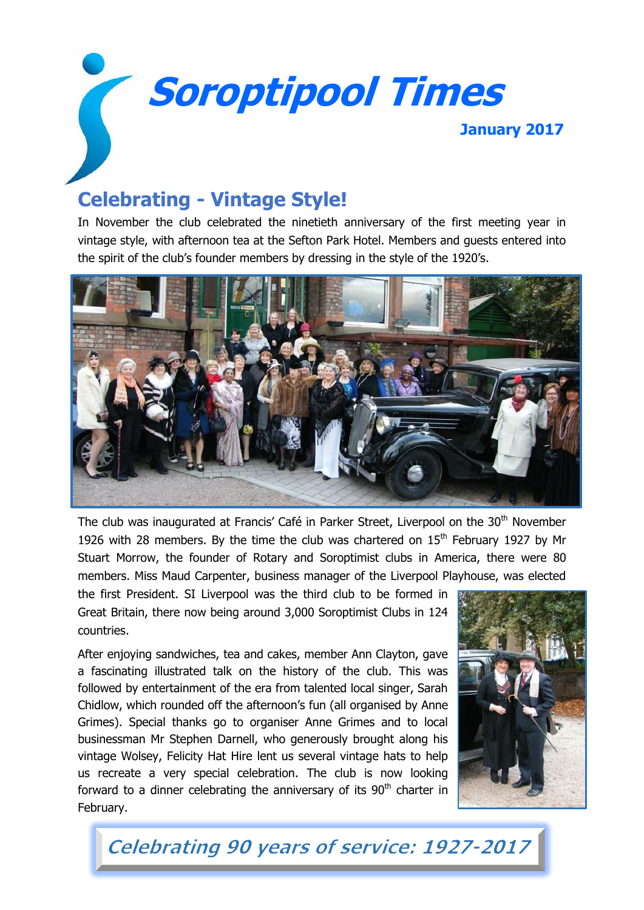**Soroptipool Times January 2017**

# **Celebrating - Vintage Style!**

In November the club celebrated the ninetieth anniversary of the first meeting year in vintage style, with afternoon tea at the Sefton Park Hotel. Members and guests entered into the spirit of the club's founder members by dressing in the style of the 1920's.



The club was inaugurated at Francis' Café in Parker Street, Liverpool on the 30<sup>th</sup> November 1926 with 28 members. By the time the club was chartered on  $15<sup>th</sup>$  February 1927 by Mr Stuart Morrow, the founder of Rotary and Soroptimist clubs in America, there were 80 members. Miss Maud Carpenter, business manager of the Liverpool Playhouse, was elected

the first President. SI Liverpool was the third club to be formed in Great Britain, there now being around 3,000 Soroptimist Clubs in 124 countries.

After enjoying sandwiches, tea and cakes, member Ann Clayton, gave a fascinating illustrated talk on the history of the club. This was followed by entertainment of the era from talented local singer, Sarah Chidlow, which rounded off the afternoon's fun (all organised by Anne Grimes). Special thanks go to organiser Anne Grimes and to local businessman Mr Stephen Darnell, who generously brought along his vintage Wolsey, Felicity Hat Hire lent us several vintage hats to help us recreate a very special celebration. The club is now looking forward to a dinner celebrating the anniversary of its  $90<sup>th</sup>$  charter in February.



Celebrating 90 years of service: 1927-2017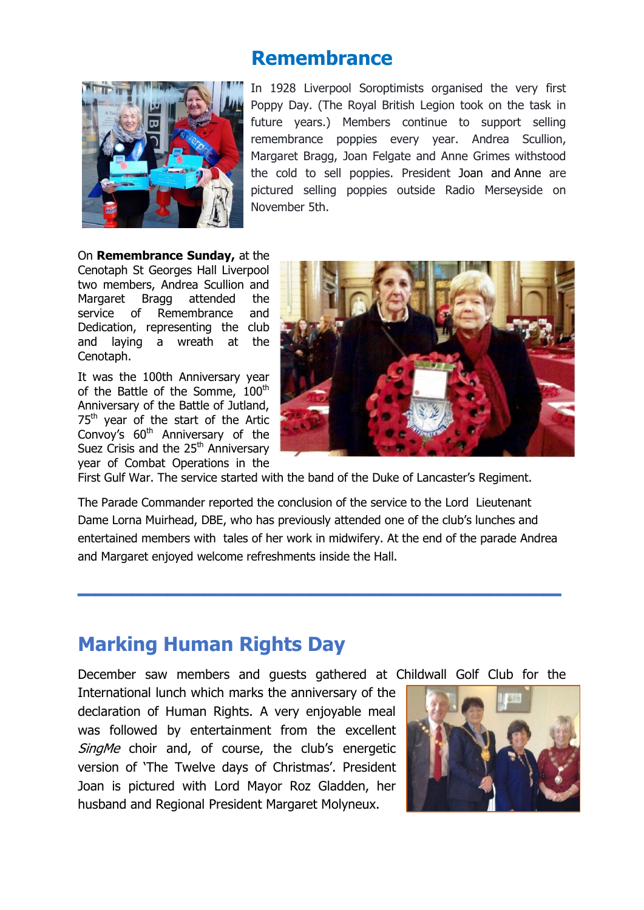## **Remembrance**



In 1928 Liverpool Soroptimists organised the very first Poppy Day. (The Royal British Legion took on the task in future years.) Members continue to support selling remembrance poppies every year. Andrea Scullion, Margaret Bragg, Joan Felgate and Anne Grimes withstood the cold to sell poppies. President [Joan a](https://www.facebook.com/profile.php?id=100005451855613)nd [Anne](https://www.facebook.com/annemariegrimes) are pictured selling poppies outside Radio Merseyside on November 5th.

On **Remembrance Sunday,** at the

Cenotaph St Georges Hall Liverpool two members, Andrea Scullion and Margaret Bragg attended the service of Remembrance and Dedication, representing the club and laying a wreath at the Cenotaph.

It was the 100th Anniversary year of the Battle of the Somme, 100<sup>th</sup> Anniversary of the Battle of Jutland, 75<sup>th</sup> year of the start of the Artic Convoy's 60<sup>th</sup> Anniversary of the Suez Crisis and the  $25<sup>th</sup>$  Anniversary year of Combat Operations in the



First Gulf War. The service started with the band of the Duke of Lancaster's Regiment.

The Parade Commander reported the conclusion of the service to the Lord Lieutenant Dame Lorna Muirhead, DBE, who has previously attended one of the club's lunches and entertained members with tales of her work in midwifery. At the end of the parade Andrea and Margaret enjoyed welcome refreshments inside the Hall.

**\_\_\_\_\_\_\_\_\_\_\_\_\_\_\_\_\_\_\_\_\_\_\_\_\_\_\_**

## **Marking Human Rights Day**

December saw members and guests gathered at Childwall Golf Club for the

International lunch which marks the anniversary of the declaration of Human Rights. A very enjoyable meal was followed by entertainment from the excellent SingMe choir and, of course, the club's energetic version of 'The Twelve days of Christmas'. President Joan is pictured with Lord Mayor Roz Gladden, her husband and Regional President Margaret Molyneux.

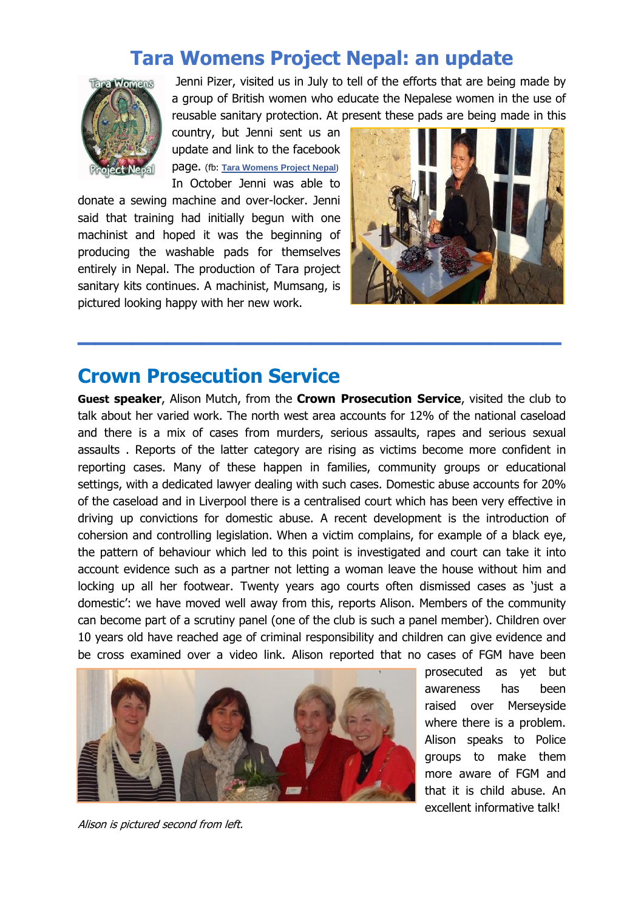## **Tara Womens Project Nepal: an update**



Jenni Pizer, visited us in July to tell of the efforts that are being made by a group of British women who educate the Nepalese women in the use of reusable sanitary protection. At present these pads are being made in this

country, but Jenni sent us an update and link to the facebook page. (fb: **[Tara Womens Project Nepal](https://www.facebook.com/tarawomansproject/)**) In October Jenni was able to

donate a sewing machine and over-locker. Jenni said that training had initially begun with one machinist and hoped it was the beginning of producing the washable pads for themselves entirely in Nepal. The production of Tara project sanitary kits continues. A machinist, Mumsang, is pictured looking happy with her new work.



## **Crown Prosecution Service**

**Guest speaker**, Alison Mutch, from the **Crown Prosecution Service**, visited the club to talk about her varied work. The north west area accounts for 12% of the national caseload and there is a mix of cases from murders, serious assaults, rapes and serious sexual assaults . Reports of the latter category are rising as victims become more confident in reporting cases. Many of these happen in families, community groups or educational settings, with a dedicated lawyer dealing with such cases. Domestic abuse accounts for 20% of the caseload and in Liverpool there is a centralised court which has been very effective in driving up convictions for domestic abuse. A recent development is the introduction of cohersion and controlling legislation. When a victim complains, for example of a black eye, the pattern of behaviour which led to this point is investigated and court can take it into account evidence such as a partner not letting a woman leave the house without him and locking up all her footwear. Twenty years ago courts often dismissed cases as 'just a domestic': we have moved well away from this, reports Alison. Members of the community can become part of a scrutiny panel (one of the club is such a panel member). Children over 10 years old have reached age of criminal responsibility and children can give evidence and be cross examined over a video link. Alison reported that no cases of FGM have been

**\_\_\_\_\_\_\_\_\_\_\_\_\_\_\_\_\_\_\_\_\_\_\_\_\_\_\_**



prosecuted as yet but awareness has been raised over Merseyside where there is a problem. Alison speaks to Police groups to make them more aware of FGM and that it is child abuse. An excellent informative talk!

Alison is pictured second from left.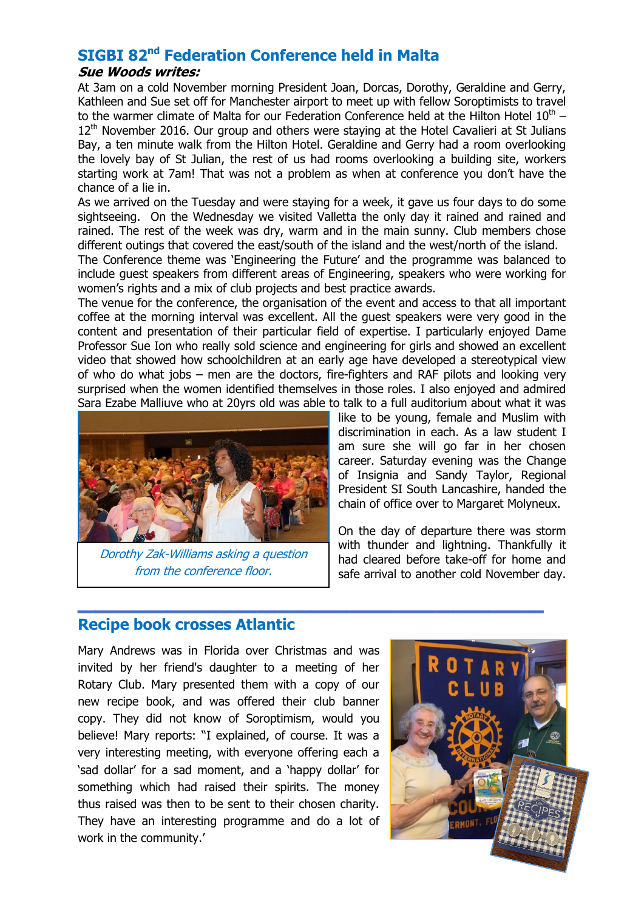## **SIGBI 82nd Federation Conference held in Malta**

#### **Sue Woods writes:**

At 3am on a cold November morning President Joan, Dorcas, Dorothy, Geraldine and Gerry, Kathleen and Sue set off for Manchester airport to meet up with fellow Soroptimists to travel to the warmer climate of Malta for our Federation Conference held at the Hilton Hotel  $10^{\text{th}}$  –  $12<sup>th</sup>$  November 2016. Our group and others were staying at the Hotel Cavalieri at St Julians Bay, a ten minute walk from the Hilton Hotel. Geraldine and Gerry had a room overlooking the lovely bay of St Julian, the rest of us had rooms overlooking a building site, workers starting work at 7am! That was not a problem as when at conference you don't have the chance of a lie in.

As we arrived on the Tuesday and were staying for a week, it gave us four days to do some sightseeing. On the Wednesday we visited Valletta the only day it rained and rained and rained. The rest of the week was dry, warm and in the main sunny. Club members chose different outings that covered the east/south of the island and the west/north of the island.

The Conference theme was 'Engineering the Future' and the programme was balanced to include guest speakers from different areas of Engineering, speakers who were working for women's rights and a mix of club projects and best practice awards.

The venue for the conference, the organisation of the event and access to that all important coffee at the morning interval was excellent. All the guest speakers were very good in the content and presentation of their particular field of expertise. I particularly enjoyed Dame Professor Sue Ion who really sold science and engineering for girls and showed an excellent video that showed how schoolchildren at an early age have developed a stereotypical view of who do what jobs – men are the doctors, fire-fighters and RAF pilots and looking very surprised when the women identified themselves in those roles. I also enjoyed and admired Sara Ezabe Malliuve who at 20yrs old was able to talk to a full auditorium about what it was

**\_\_\_\_\_\_\_\_\_\_\_\_\_\_\_\_\_\_\_\_\_\_\_\_\_\_**



Dorothy Zak-Williams asking a question from the conference floor.

like to be young, female and Muslim with discrimination in each. As a law student I am sure she will go far in her chosen career. Saturday evening was the Change of Insignia and Sandy Taylor, Regional President SI South Lancashire, handed the chain of office over to Margaret Molyneux.

On the day of departure there was storm with thunder and lightning. Thankfully it had cleared before take-off for home and safe arrival to another cold November day.

## **Recipe book crosses Atlantic**

Mary Andrews was in Florida over Christmas and was invited by her friend's daughter to a meeting of her Rotary Club. Mary presented them with a copy of our new recipe book, and was offered their club banner copy. They did not know of Soroptimism, would you believe! Mary reports: "I explained, of course. It was a very interesting meeting, with everyone offering each a 'sad dollar' for a sad moment, and a 'happy dollar' for something which had raised their spirits. The money thus raised was then to be sent to their chosen charity. They have an interesting programme and do a lot of work in the community.'